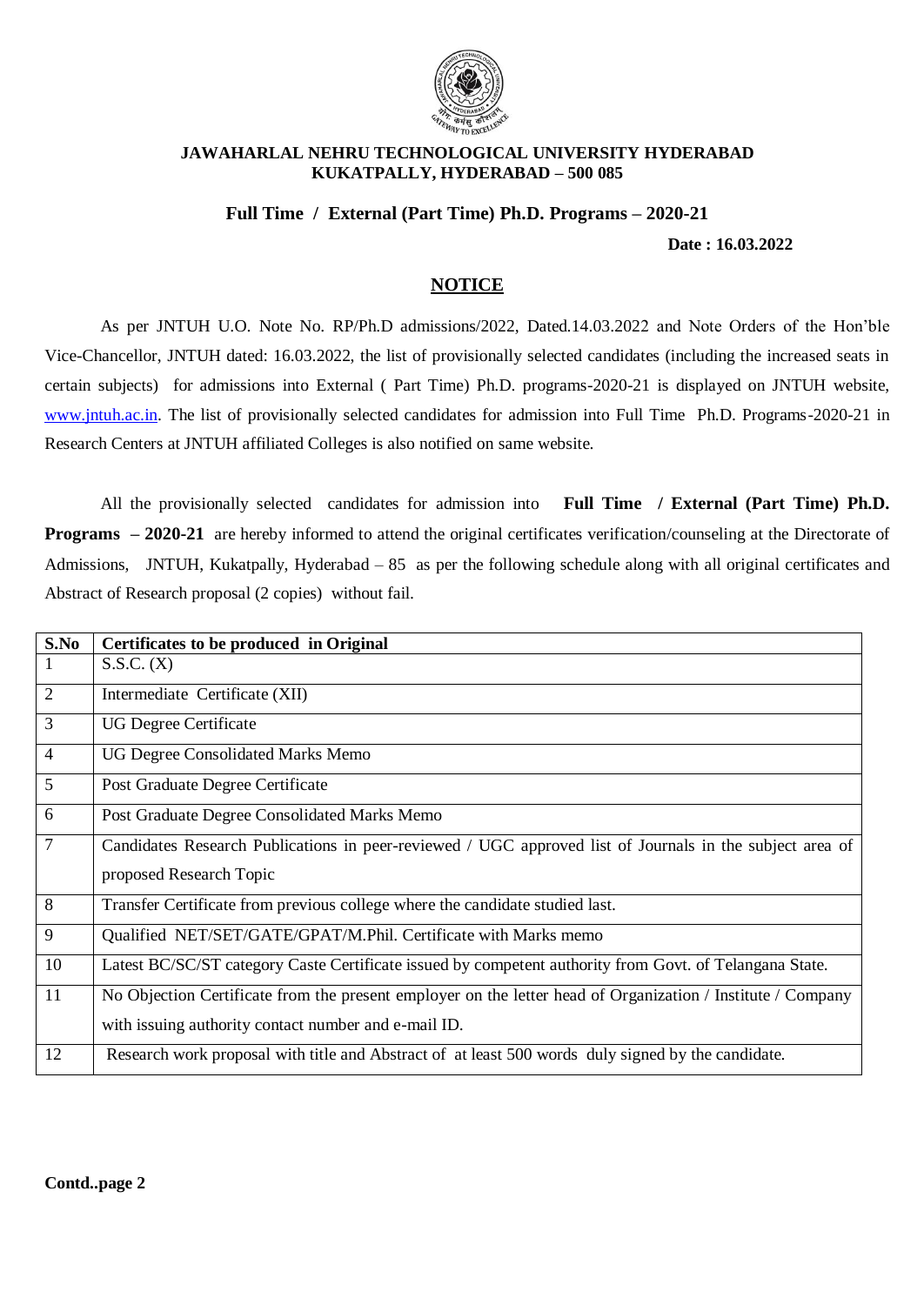

#### **JAWAHARLAL NEHRU TECHNOLOGICAL UNIVERSITY HYDERABAD KUKATPALLY, HYDERABAD – 500 085**

### **Full Time / External (Part Time) Ph.D. Programs – 2020-21**

 **Date : 16.03.2022**

# **NOTICE**

As per JNTUH U.O. Note No. RP/Ph.D admissions/2022, Dated.14.03.2022 and Note Orders of the Hon'ble Vice-Chancellor, JNTUH dated: 16.03.2022, the list of provisionally selected candidates (including the increased seats in certain subjects) for admissions into External ( Part Time) Ph.D. programs-2020-21 is displayed on JNTUH website, [www.jntuh.ac.in.](http://www.jntuh.ac.in/) The list of provisionally selected candidates for admission into Full Time Ph.D. Programs-2020-21 in Research Centers at JNTUH affiliated Colleges is also notified on same website.

All the provisionally selected candidates for admission into **Full Time / External (Part Time) Ph.D. Programs – 2020-21** are hereby informed to attend the original certificates verification/counseling at the Directorate of Admissions, JNTUH, Kukatpally, Hyderabad – 85 as per the following schedule along with all original certificates and Abstract of Research proposal (2 copies) without fail.

| S.No           | Certificates to be produced in Original                                                                     |
|----------------|-------------------------------------------------------------------------------------------------------------|
| 1              | S.S.C. (X)                                                                                                  |
| 2              | Intermediate Certificate (XII)                                                                              |
| 3              | <b>UG Degree Certificate</b>                                                                                |
| $\overline{4}$ | UG Degree Consolidated Marks Memo                                                                           |
| 5              | Post Graduate Degree Certificate                                                                            |
| 6              | Post Graduate Degree Consolidated Marks Memo                                                                |
| $\overline{7}$ | Candidates Research Publications in peer-reviewed / UGC approved list of Journals in the subject area of    |
|                | proposed Research Topic                                                                                     |
| $\overline{8}$ | Transfer Certificate from previous college where the candidate studied last.                                |
| 9              | Qualified NET/SET/GATE/GPAT/M.Phil. Certificate with Marks memo                                             |
| 10             | Latest BC/SC/ST category Caste Certificate issued by competent authority from Govt. of Telangana State.     |
| 11             | No Objection Certificate from the present employer on the letter head of Organization / Institute / Company |
|                | with issuing authority contact number and e-mail ID.                                                        |
| 12             | Research work proposal with title and Abstract of at least 500 words duly signed by the candidate.          |